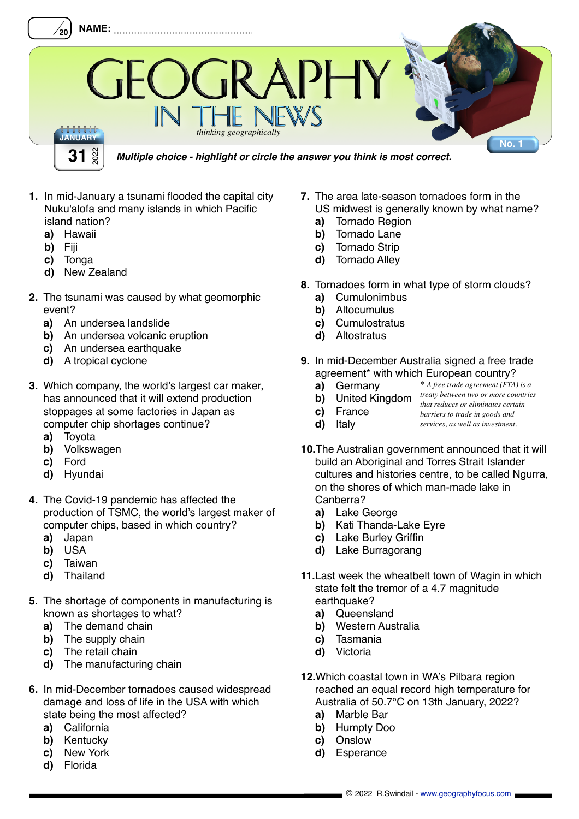

- **1.** In mid-January a tsunami flooded the capital city Nuku'alofa and many islands in which Pacific island nation?
	- **a)** Hawaii
	- **b)** Fiji
	- **c)** Tonga
	- **d)** New Zealand
- **2.** The tsunami was caused by what geomorphic event?
	- **a)** An undersea landslide
	- **b)** An undersea volcanic eruption
	- **c)** An undersea earthquake
	- **d)** A tropical cyclone
- **3.** Which company, the world's largest car maker, has announced that it will extend production stoppages at some factories in Japan as computer chip shortages continue?
	- **a)** Toyota
	- **b)** Volkswagen
	- **c)** Ford
	- **d)** Hyundai
- **4.** The Covid-19 pandemic has affected the production of TSMC, the world's largest maker of computer chips, based in which country?
	- **a)** Japan
	- **b)** USA
	- **c)** Taiwan
	- **d)** Thailand
- **5**. The shortage of components in manufacturing is known as shortages to what?
	- **a)** The demand chain
	- **b)** The supply chain
	- **c)** The retail chain
	- **d)** The manufacturing chain
- **6.** In mid-December tornadoes caused widespread damage and loss of life in the USA with which state being the most affected?
	- **a)** California
	- **b)** Kentucky
	- **c)** New York
	- **d)** Florida
- **7.** The area late-season tornadoes form in the US midwest is generally known by what name?
	- **a)** Tornado Region<br>**b)** Tornado Lane
	- **b)** Tornado Lane
	- **c)** Tornado Strip
	- **d)** Tornado Alley
- **8.** Tornadoes form in what type of storm clouds?
	- **a)** Cumulonimbus
	- **b)** Altocumulus
	- **c)** Cumulostratus
	- **d)** Altostratus
- **9.** In mid-December Australia signed a free trade agreement\* with which European country?
	- **a)** Germany *\* A free trade agreement (FTA) is a*
	- **b)** United Kingdom *treaty between two or more countries that reduces or eliminates certain*
	- **c)** France *barriers to trade in goods and*
	- **d)** Italy *services, as well as investment.*
- **10.**The Australian government announced that it will build an Aboriginal and Torres Strait Islander cultures and histories centre, to be called Ngurra. on the shores of which man-made lake in Canberra?
	- **a)** Lake George
	- **b)** Kati Thanda-Lake Eyre
	- **c)** Lake Burley Griffin
	- **d)** Lake Burragorang
- **11.**Last week the wheatbelt town of Wagin in which state felt the tremor of a 4.7 magnitude earthquake?
	- **a)** Queensland
	- **b)** Western Australia
	- **c)** Tasmania
	- **d)** Victoria
- **12.**Which coastal town in WA's Pilbara region reached an equal record high temperature for Australia of 50.7°C on 13th January, 2022?
	- **a)** Marble Bar
	- **b)** Humpty Doo
	- **c)** Onslow
	- **d)** Esperance